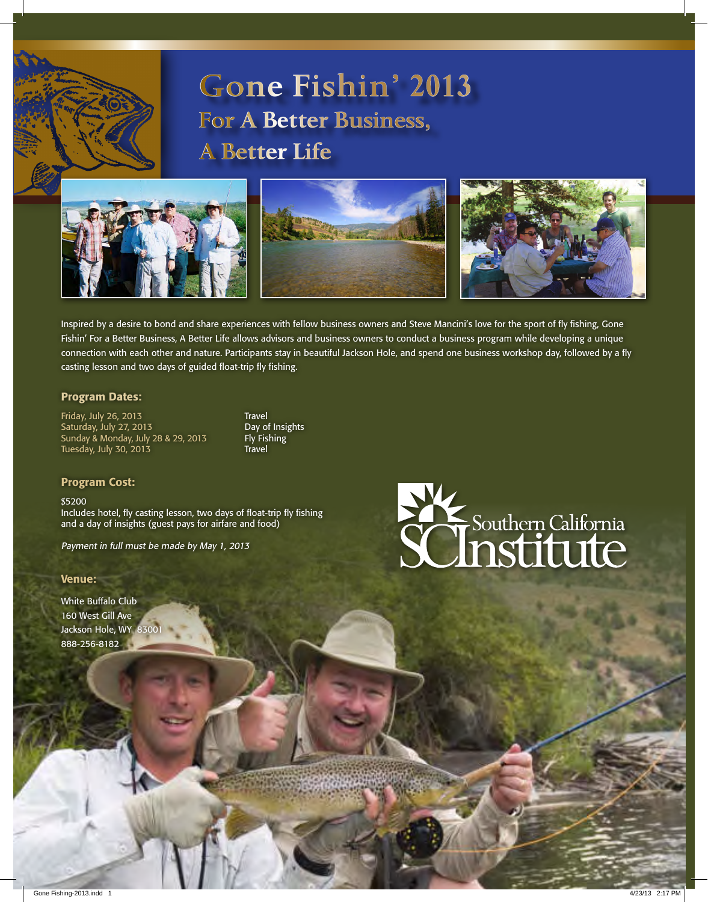

# **Gone Fishin' 2013 For A Better Business, A Better Life**



Inspired by a desire to bond and share experiences with fellow business owners and Steve Mancini's love for the sport of fly fishing, Gone Fishin' For a Better Business, A Better Life allows advisors and business owners to conduct a business program while developing a unique connection with each other and nature. Participants stay in beautiful Jackson Hole, and spend one business workshop day, followed by a fly casting lesson and two days of guided float-trip fly fishing.

## Program Dates:

Friday, July 26, 2013<br>
Saturday, July 27, 2013<br> **Case Converts Convertsion Case Case Convertsion** Saturday, July 27, 2013<br>Sunday & Monday, July 28 & 29, 2013 Fly Fishing Sunday & Monday, July 28 & 29, 2013 Fly Fishing Fig. Fly Fishing Travel Tuesday, July 30, 2013

#### Program Cost:

\$5200 Includes hotel, fly casting lesson, two days of float-trip fly fishing and a day of insights (guest pays for airfare and food)

Payment in full must be made by May 1, 2013

#### Venue:

White Buffalo Club 160 West Gill Ave Jackson Hole, WY 8300 888-256-8182